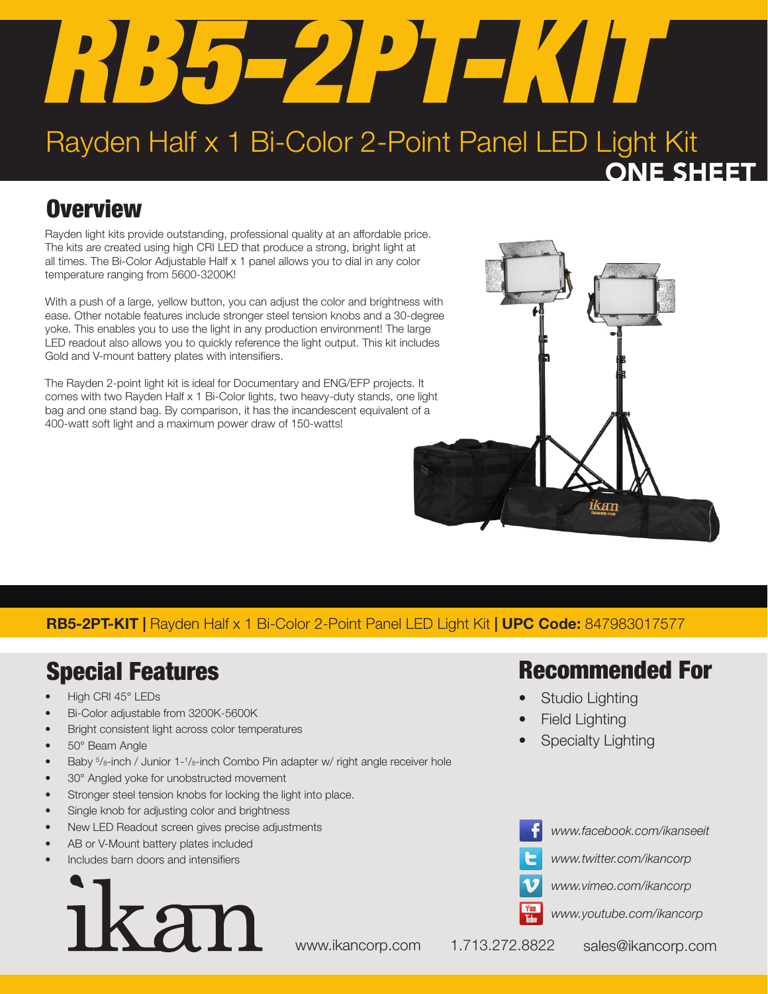# *RB5-2PT-KIT*

## Rayden Half x 1 Bi-Color 2-Point Panel LED Light Kit ONE SHEET

# **Overview**

Rayden light kits provide outstanding, professional quality at an affordable price. The kits are created using high CRI LED that produce a strong, bright light at all times. The Bi-Color Adjustable Half x 1 panel allows you to dial in any color temperature ranging from 5600-3200K!

With a push of a large, yellow button, you can adjust the color and brightness with ease. Other notable features include stronger steel tension knobs and a 30-degree yoke. This enables you to use the light in any production environment! The large LED readout also allows you to quickly reference the light output. This kit includes Gold and V-mount battery plates with intensifiers.

The Rayden 2-point light kit is ideal for Documentary and ENG/EFP projects. It comes with two Rayden Half x 1 Bi-Color lights, two heavy-duty stands, one light bag and one stand bag. By comparison, it has the incandescent equivalent of a 400-watt soft light and a maximum power draw of 150-watts!



RB5-2PT-KIT | Rayden Half x 1 Bi-Color 2-Point Panel LED Light Kit | UPC Code: 847983017577

# Special Features

- High CRI 45° LEDs
- Bi-Color adjustable from 3200K-5600K
- Bright consistent light across color temperatures
- 50° Beam Angle
- Baby  $5/8$ -inch / Junior 1-1/8-inch Combo Pin adapter w/ right angle receiver hole
- 30° Angled yoke for unobstructed movement
- Stronger steel tension knobs for locking the light into place.
- Single knob for adjusting color and brightness
- New LED Readout screen gives precise adjustments
- AB or V-Mount battery plates included
- Includes barn doors and intensifiers



### Recommended For

- Studio Lighting
- **Field Lighting**
- **Specialty Lighting**



*www.twitter.com/ikancorp*

*www.facebook.com/ikanseeit*





*www.youtube.com/ikancorp*

www.ikancorp.com 1.713.272.8822 sales@ikancorp.com